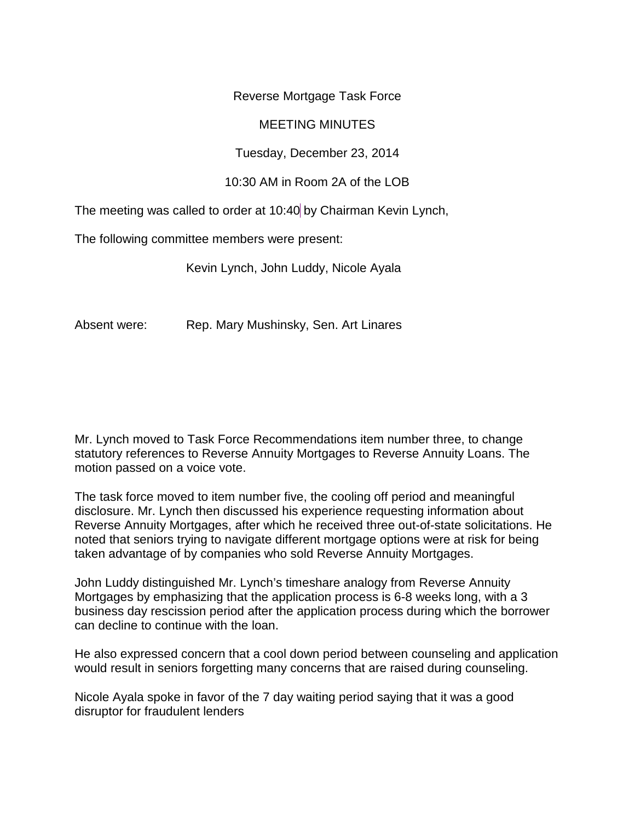Reverse Mortgage Task Force

## MEETING MINUTES

Tuesday, December 23, 2014

## 10:30 AM in Room 2A of the LOB

The meeting was called to order at 10:40 by Chairman Kevin Lynch,

The following committee members were present:

Kevin Lynch, John Luddy, Nicole Ayala

Absent were: Rep. Mary Mushinsky, Sen. Art Linares

Mr. Lynch moved to Task Force Recommendations item number three, to change statutory references to Reverse Annuity Mortgages to Reverse Annuity Loans. The motion passed on a voice vote.

The task force moved to item number five, the cooling off period and meaningful disclosure. Mr. Lynch then discussed his experience requesting information about Reverse Annuity Mortgages, after which he received three out-of-state solicitations. He noted that seniors trying to navigate different mortgage options were at risk for being taken advantage of by companies who sold Reverse Annuity Mortgages.

John Luddy distinguished Mr. Lynch's timeshare analogy from Reverse Annuity Mortgages by emphasizing that the application process is 6-8 weeks long, with a 3 business day rescission period after the application process during which the borrower can decline to continue with the loan.

He also expressed concern that a cool down period between counseling and application would result in seniors forgetting many concerns that are raised during counseling.

Nicole Ayala spoke in favor of the 7 day waiting period saying that it was a good disruptor for fraudulent lenders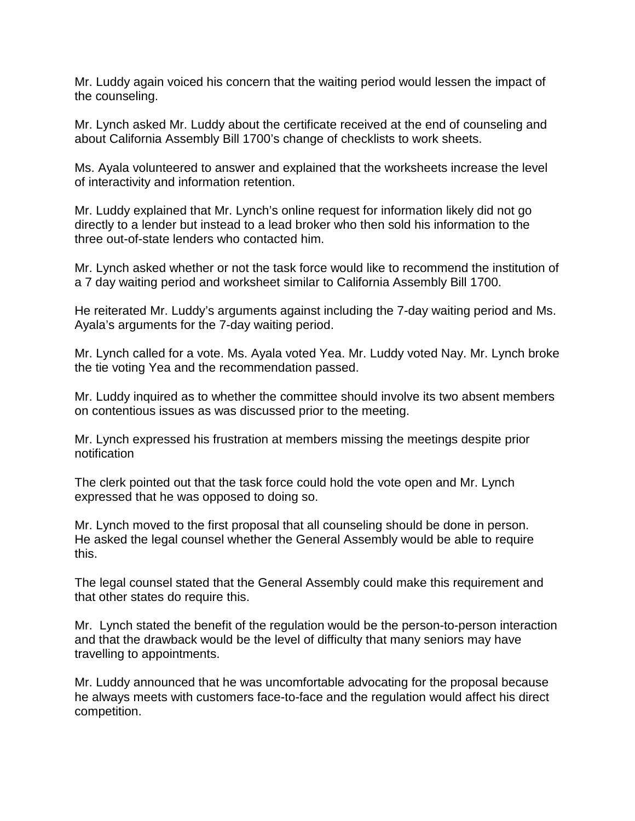Mr. Luddy again voiced his concern that the waiting period would lessen the impact of the counseling.

Mr. Lynch asked Mr. Luddy about the certificate received at the end of counseling and about California Assembly Bill 1700's change of checklists to work sheets.

Ms. Ayala volunteered to answer and explained that the worksheets increase the level of interactivity and information retention.

Mr. Luddy explained that Mr. Lynch's online request for information likely did not go directly to a lender but instead to a lead broker who then sold his information to the three out-of-state lenders who contacted him.

Mr. Lynch asked whether or not the task force would like to recommend the institution of a 7 day waiting period and worksheet similar to California Assembly Bill 1700.

He reiterated Mr. Luddy's arguments against including the 7-day waiting period and Ms. Ayala's arguments for the 7-day waiting period.

Mr. Lynch called for a vote. Ms. Ayala voted Yea. Mr. Luddy voted Nay. Mr. Lynch broke the tie voting Yea and the recommendation passed.

Mr. Luddy inquired as to whether the committee should involve its two absent members on contentious issues as was discussed prior to the meeting.

Mr. Lynch expressed his frustration at members missing the meetings despite prior notification

The clerk pointed out that the task force could hold the vote open and Mr. Lynch expressed that he was opposed to doing so.

Mr. Lynch moved to the first proposal that all counseling should be done in person. He asked the legal counsel whether the General Assembly would be able to require this.

The legal counsel stated that the General Assembly could make this requirement and that other states do require this.

Mr. Lynch stated the benefit of the regulation would be the person-to-person interaction and that the drawback would be the level of difficulty that many seniors may have travelling to appointments.

Mr. Luddy announced that he was uncomfortable advocating for the proposal because he always meets with customers face-to-face and the regulation would affect his direct competition.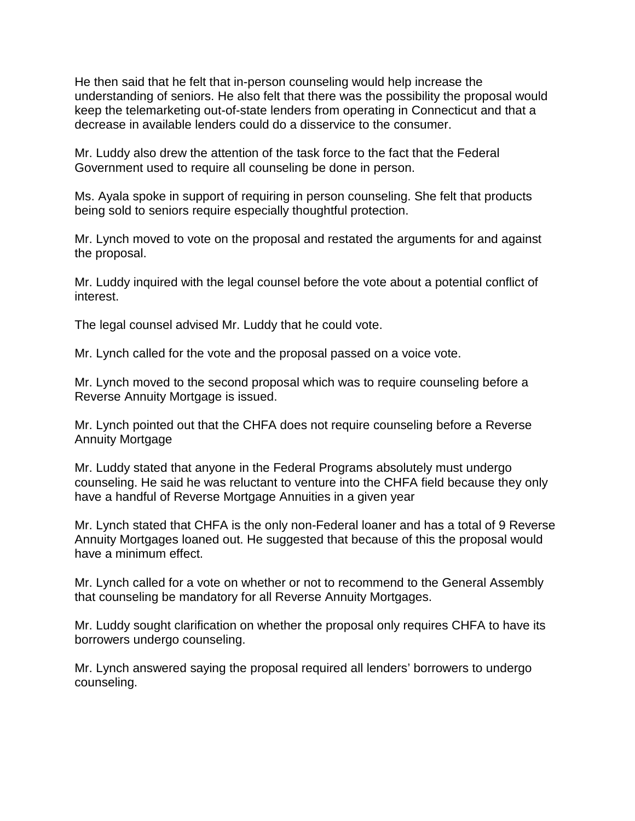He then said that he felt that in-person counseling would help increase the understanding of seniors. He also felt that there was the possibility the proposal would keep the telemarketing out-of-state lenders from operating in Connecticut and that a decrease in available lenders could do a disservice to the consumer.

Mr. Luddy also drew the attention of the task force to the fact that the Federal Government used to require all counseling be done in person.

Ms. Ayala spoke in support of requiring in person counseling. She felt that products being sold to seniors require especially thoughtful protection.

Mr. Lynch moved to vote on the proposal and restated the arguments for and against the proposal.

Mr. Luddy inquired with the legal counsel before the vote about a potential conflict of interest.

The legal counsel advised Mr. Luddy that he could vote.

Mr. Lynch called for the vote and the proposal passed on a voice vote.

Mr. Lynch moved to the second proposal which was to require counseling before a Reverse Annuity Mortgage is issued.

Mr. Lynch pointed out that the CHFA does not require counseling before a Reverse Annuity Mortgage

Mr. Luddy stated that anyone in the Federal Programs absolutely must undergo counseling. He said he was reluctant to venture into the CHFA field because they only have a handful of Reverse Mortgage Annuities in a given year

Mr. Lynch stated that CHFA is the only non-Federal loaner and has a total of 9 Reverse Annuity Mortgages loaned out. He suggested that because of this the proposal would have a minimum effect.

Mr. Lynch called for a vote on whether or not to recommend to the General Assembly that counseling be mandatory for all Reverse Annuity Mortgages.

Mr. Luddy sought clarification on whether the proposal only requires CHFA to have its borrowers undergo counseling.

Mr. Lynch answered saying the proposal required all lenders' borrowers to undergo counseling.